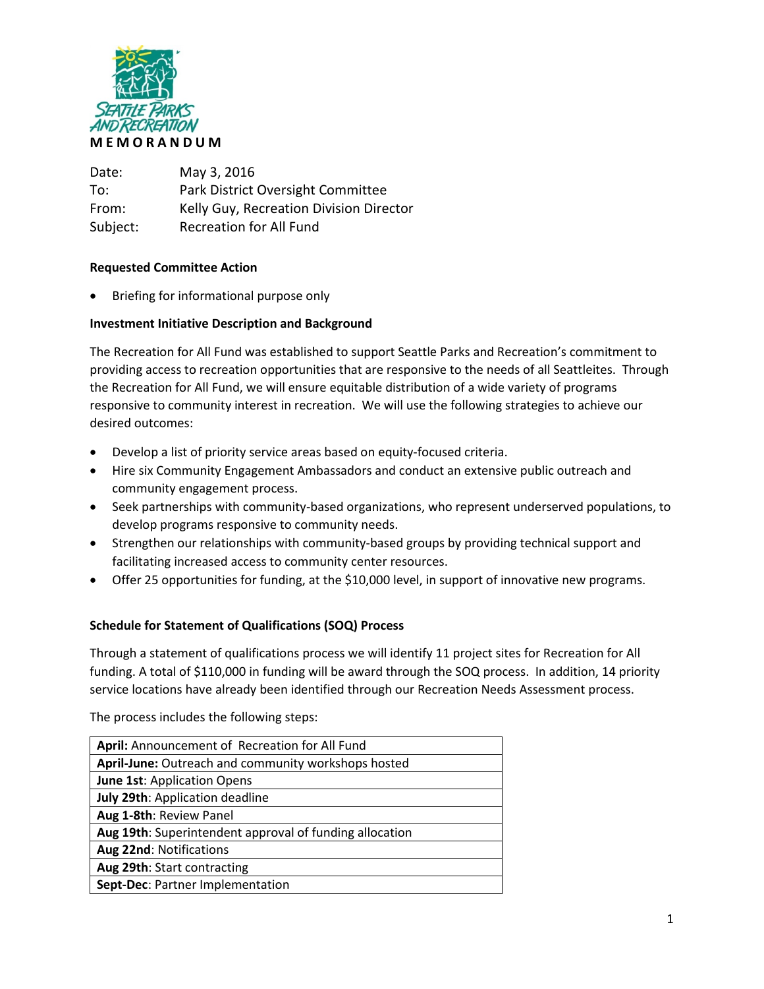

Date: May 3, 2016 To: Park District Oversight Committee From: Kelly Guy, Recreation Division Director Subject: Recreation for All Fund

## **Requested Committee Action**

• Briefing for informational purpose only

## **Investment Initiative Description and Background**

The Recreation for All Fund was established to support Seattle Parks and Recreation's commitment to providing access to recreation opportunities that are responsive to the needs of all Seattleites. Through the Recreation for All Fund, we will ensure equitable distribution of a wide variety of programs responsive to community interest in recreation. We will use the following strategies to achieve our desired outcomes:

- Develop a list of priority service areas based on equity-focused criteria.
- Hire six Community Engagement Ambassadors and conduct an extensive public outreach and community engagement process.
- Seek partnerships with community-based organizations, who represent underserved populations, to develop programs responsive to community needs.
- Strengthen our relationships with community-based groups by providing technical support and facilitating increased access to community center resources.
- Offer 25 opportunities for funding, at the \$10,000 level, in support of innovative new programs.

### **Schedule for Statement of Qualifications (SOQ) Process**

Through a statement of qualifications process we will identify 11 project sites for Recreation for All funding. A total of \$110,000 in funding will be award through the SOQ process. In addition, 14 priority service locations have already been identified through our Recreation Needs Assessment process.

The process includes the following steps:

| April: Announcement of Recreation for All Fund          |
|---------------------------------------------------------|
| April-June: Outreach and community workshops hosted     |
| <b>June 1st: Application Opens</b>                      |
| July 29th: Application deadline                         |
| Aug 1-8th: Review Panel                                 |
| Aug 19th: Superintendent approval of funding allocation |
| Aug 22nd: Notifications                                 |
| Aug 29th: Start contracting                             |
| Sept-Dec: Partner Implementation                        |
|                                                         |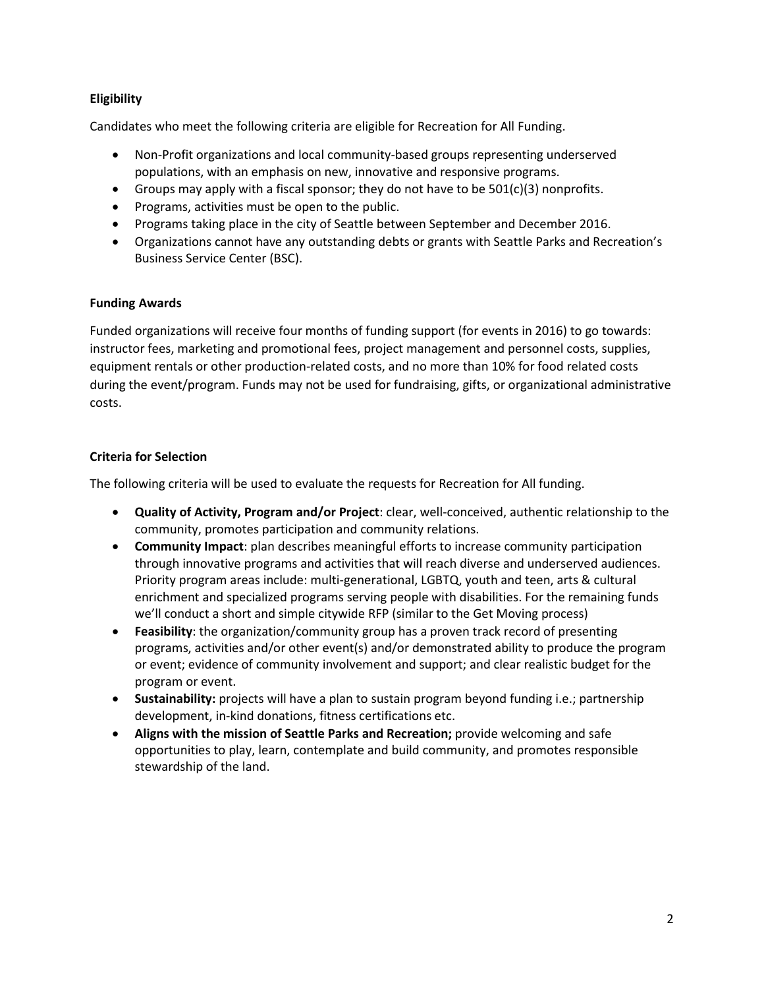## **Eligibility**

Candidates who meet the following criteria are eligible for Recreation for All Funding.

- Non-Profit organizations and local community-based groups representing underserved populations, with an emphasis on new, innovative and responsive programs.
- Groups may apply with a fiscal sponsor; they do not have to be  $501(c)(3)$  nonprofits.
- Programs, activities must be open to the public.
- Programs taking place in the city of Seattle between September and December 2016.
- Organizations cannot have any outstanding debts or grants with Seattle Parks and Recreation's Business Service Center (BSC).

## **Funding Awards**

Funded organizations will receive four months of funding support (for events in 2016) to go towards: instructor fees, marketing and promotional fees, project management and personnel costs, supplies, equipment rentals or other production-related costs, and no more than 10% for food related costs during the event/program. Funds may not be used for fundraising, gifts, or organizational administrative costs.

# **Criteria for Selection**

The following criteria will be used to evaluate the requests for Recreation for All funding.

- **Quality of Activity, Program and/or Project**: clear, well-conceived, authentic relationship to the community, promotes participation and community relations.
- **Community Impact**: plan describes meaningful efforts to increase community participation through innovative programs and activities that will reach diverse and underserved audiences. Priority program areas include: multi-generational, LGBTQ, youth and teen, arts & cultural enrichment and specialized programs serving people with disabilities. For the remaining funds we'll conduct a short and simple citywide RFP (similar to the Get Moving process)
- **Feasibility**: the organization/community group has a proven track record of presenting programs, activities and/or other event(s) and/or demonstrated ability to produce the program or event; evidence of community involvement and support; and clear realistic budget for the program or event.
- **Sustainability:** projects will have a plan to sustain program beyond funding i.e.; partnership development, in-kind donations, fitness certifications etc.
- **Aligns with the mission of Seattle Parks and Recreation;** provide welcoming and safe opportunities to play, learn, contemplate and build community, and promotes responsible stewardship of the land.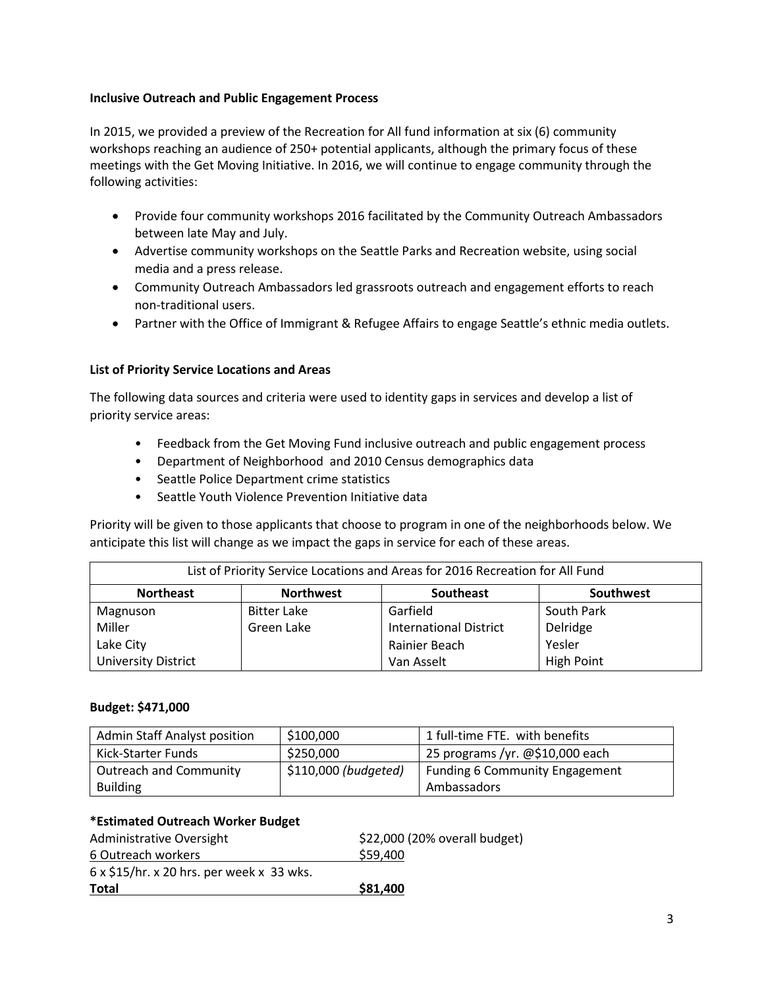## **Inclusive Outreach and Public Engagement Process**

In 2015, we provided a preview of the Recreation for All fund information at six (6) community workshops reaching an audience of 250+ potential applicants, although the primary focus of these meetings with the Get Moving Initiative. In 2016, we will continue to engage community through the following activities:

- Provide four community workshops 2016 facilitated by the Community Outreach Ambassadors between late May and July.
- Advertise community workshops on the Seattle Parks and Recreation website, using social media and a press release.
- Community Outreach Ambassadors led grassroots outreach and engagement efforts to reach non-traditional users.
- Partner with the Office of Immigrant & Refugee Affairs to engage Seattle's ethnic media outlets.

## **List of Priority Service Locations and Areas**

The following data sources and criteria were used to identity gaps in services and develop a list of priority service areas:

- Feedback from the Get Moving Fund inclusive outreach and public engagement process
- Department of Neighborhood and 2010 Census demographics data
- Seattle Police Department crime statistics
- Seattle Youth Violence Prevention Initiative data

Priority will be given to those applicants that choose to program in one of the neighborhoods below. We anticipate this list will change as we impact the gaps in service for each of these areas.

| List of Priority Service Locations and Areas for 2016 Recreation for All Fund |                    |                               |                   |  |
|-------------------------------------------------------------------------------|--------------------|-------------------------------|-------------------|--|
| <b>Northeast</b>                                                              | <b>Northwest</b>   | <b>Southeast</b>              | Southwest         |  |
| Magnuson                                                                      | <b>Bitter Lake</b> | Garfield                      | South Park        |  |
| Miller                                                                        | Green Lake         | <b>International District</b> | Delridge          |  |
| Lake City                                                                     |                    | Rainier Beach                 | Yesler            |  |
| <b>University District</b>                                                    |                    | Van Asselt                    | <b>High Point</b> |  |

### **Budget: \$471,000**

| <b>Admin Staff Analyst position</b> | \$100,000            | 1 full-time FTE. with benefits        |
|-------------------------------------|----------------------|---------------------------------------|
| Kick-Starter Funds                  | \$250,000            | 25 programs /yr. @\$10,000 each       |
| <b>Outreach and Community</b>       | \$110,000 (budgeted) | <b>Funding 6 Community Engagement</b> |
| <b>Building</b>                     |                      | Ambassadors                           |

### **\*Estimated Outreach Worker Budget**

| Administrative Oversight                         | \$22,000 (20% overall budget) |
|--------------------------------------------------|-------------------------------|
| 6 Outreach workers                               | \$59,400                      |
| $6 \times $15$ /hr. x 20 hrs. per week x 33 wks. |                               |
| Total                                            | \$81,400                      |